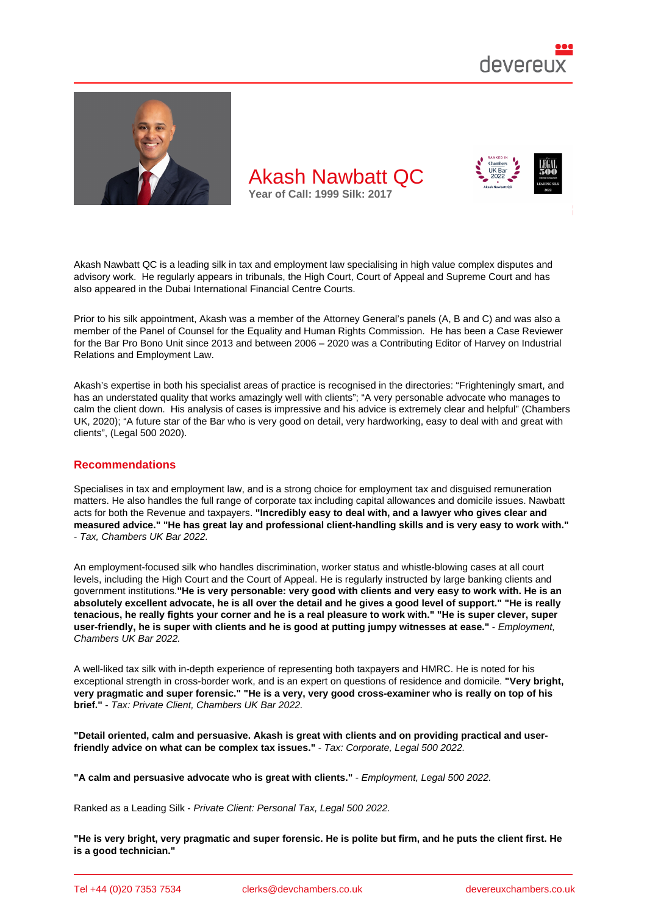

Akash Nawbatt QC is a leading silk in tax and employment law specialising in high value complex disputes and advisory work. He regularly appears in tribunals, the High Court, Court of Appeal and Supreme Court and has also appeared in the Dubai International Financial Centre Courts.

Prior to his silk appointment, Akash was a member of the Attorney General's panels (A, B and C) and was also a member of the Panel of Counsel for the Equality and Human Rights Commission. He has been a Case Reviewer for the Bar Pro Bono Unit since 2013 and between 2006 – 2020 was a Contributing Editor of Harvey on Industrial Relations and Employment Law.

Akash's expertise in both his specialist areas of practice is recognised in the directories: "Frighteningly smart, and has an understated quality that works amazingly well with clients"; "A very personable advocate who manages to calm the client down. His analysis of cases is impressive and his advice is extremely clear and helpful" (Chambers UK, 2020); "A future star of the Bar who is very good on detail, very hardworking, easy to deal with and great with clients", (Legal 500 2020).

#### Recommendations

Specialises in tax and employment law, and is a strong choice for employment tax and disguised remuneration matters. He also handles the full range of corporate tax including capital allowances and domicile issues. Nawbatt acts for both the Revenue and taxpayers. "Incredibly easy to deal with, and a lawyer who gives clear and measured advice." "He has great lay and professional client-handling skills and is very easy to work with." - Tax, Chambers UK Bar 2022.

An employment-focused silk who handles discrimination, worker status and whistle-blowing cases at all court levels, including the High Court and the Court of Appeal. He is regularly instructed by large banking clients and government institutions."He is very personable: very good with clients and very easy to work with. He is an absolutely excellent advocate, he is all over the detail and he gives a good level of support." "He is really tenacious, he really fights your corner and he is a real pleasure to work with." "He is super clever, super user-friendly, he is super with clients and he is good at putting jumpy witnesses at ease." - Employment, Chambers UK Bar 2022.

A well-liked tax silk with in-depth experience of representing both taxpayers and HMRC. He is noted for his exceptional strength in cross-border work, and is an expert on questions of residence and domicile. "Very bright, very pragmatic and super forensic." "He is a very, very good cross-examiner who is really on top of his brief." - Tax: Private Client, Chambers UK Bar 2022.

"Detail oriented, calm and persuasive. Akash is great with clients and on providing practical and userfriendly advice on what can be complex tax issues." - Tax: Corporate, Legal 500 2022.

"A calm and persuasive advocate who is great with clients." - Employment, Legal 500 2022.

Ranked as a Leading Silk - Private Client: Personal Tax, Legal 500 2022.

"He is very bright, very pragmatic and super forensic. He is polite but firm, and he puts the client first. He is a good technician."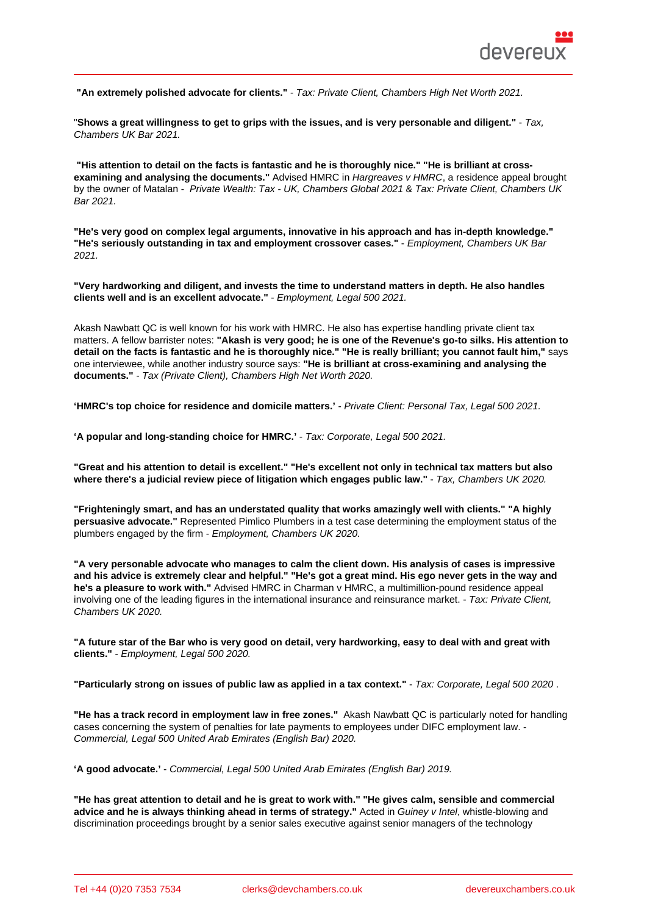"A n extremely polished advocate for clients." - Tax: Private Client, Chambers High Net Worth 2021.

"Shows a great willingness to get to grips with the issues, and is very personable and diligent." - Tax, Chambers UK Bar 2021.

"His attention to detail on the facts is fantastic and he is thoroughly nice." "He is brilliant at crossexamining and analysing the documents." Advised HMRC in Hargreaves v HMRC, a residence appeal brought by the owner of Matalan - Private Wealth: Tax - UK, Chambers Global 2021 & Tax: Private Client, Chambers UK Bar 2021.

"He's very good on complex legal arguments, innovative in his approach and has in-depth knowledge." "He's seriously outstanding in tax and employment crossover cases." - Employment, Chambers UK Bar 2021.

"Very hardworking and diligent, and invests the time to understand matters in depth. He also handles clients well and is an excellent advocate." - Employment, Legal 500 2021.

Akash Nawbatt QC is well known for his work with HMRC. He also has expertise handling private client tax matters. A fellow barrister notes: "Akash is very good; he is one of the Revenue's go-to silks. His attention to detail on the facts is fantastic and he is thoroughly nice." "He is really brilliant; you cannot fault him," says one interviewee, while another industry source says: "He is brilliant at cross-examining and analysing the documents." - Tax (Private Client), Chambers High Net Worth 2020.

'HMRC's top choice for residence and domicile matters.' - Private Client: Personal Tax, Legal 500 2021.

'A popular and long-standing choice for HMRC.' - Tax: Corporate, Legal 500 2021.

"Great and his attention to detail is excellent." "He's excellent not only in technical tax matters but also where there's a judicial review piece of litigation which engages public law." - Tax, Chambers UK 2020.

"Frighteningly smart, and has an understated quality that works amazingly well with clients." "A highly persuasive advocate." Represented Pimlico Plumbers in a test case determining the employment status of the plumbers engaged by the firm - Employment, Chambers UK 2020.

"A very personable advocate who manages to calm the client down. His analysis of cases is impressive and his advice is extremely clear and helpful." "He's got a great mind. His ego never gets in the way and he's a pleasure to work with." Advised HMRC in Charman v HMRC, a multimillion-pound residence appeal involving one of the leading figures in the international insurance and reinsurance market. - Tax: Private Client, Chambers UK 2020.

"A future star of the Bar who is very good on detail, very hardworking, easy to deal with and great with clients." - Employment, Legal 500 2020.

"Particularly strong on issues of public law as applied in a tax context." - Tax: Corporate, Legal 500 2020.

"He has a track record in employment law in free zones." Akash Nawbatt QC is particularly noted for handling cases concerning the system of penalties for late payments to employees under DIFC employment law. - Commercial, Legal 500 United Arab Emirates (English Bar) 2020.

'A good advocate.' - Commercial, Legal 500 United Arab Emirates (English Bar) 2019.

"He has great attention to detail and he is great to work with." "He gives calm, sensible and commercial advice and he is always thinking ahead in terms of strategy." Acted in Guiney v Intel, whistle-blowing and discrimination proceedings brought by a senior sales executive against senior managers of the technology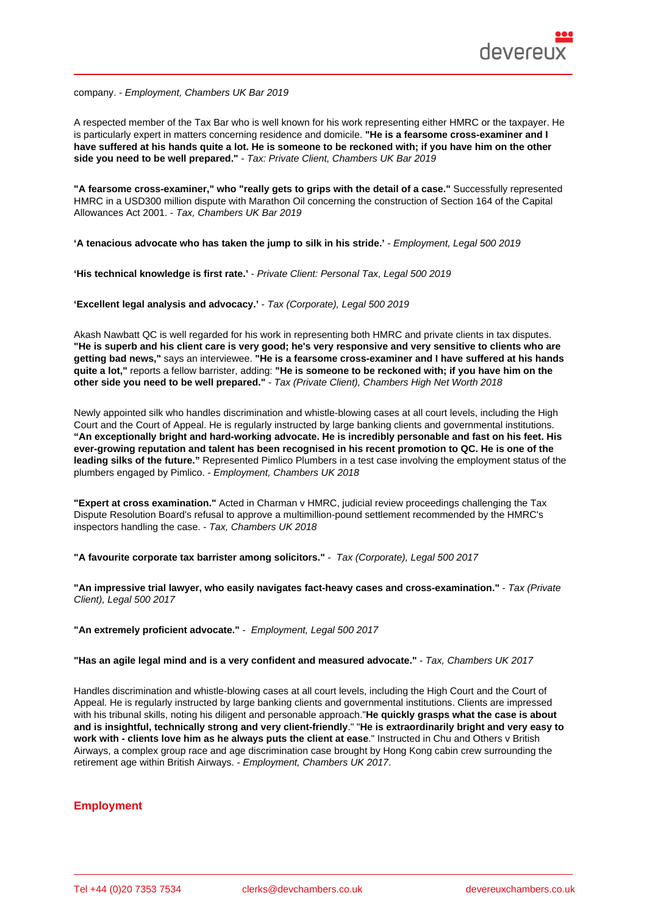company. - Employment, Chambers UK Bar 2019

A respected member of the Tax Bar who is well known for his work representing either HMRC or the taxpayer. He is particularly expert in matters concerning residence and domicile. "He is a fearsome cross-examiner and I have suffered at his hands quite a lot. He is someone to be reckoned with; if you have him on the other side you need to be well prepared." - Tax: Private Client, Chambers UK Bar 2019

"A fearsome cross-examiner," who "really gets to grips with the detail of a case." Successfully represented HMRC in a USD300 million dispute with Marathon Oil concerning the construction of Section 164 of the Capital Allowances Act 2001. - Tax, Chambers UK Bar 2019

'A tenacious advocate who has taken the jump to silk in his stride.' - Employment, Legal 500 2019

'His technical knowledge is first rate.' - Private Client: Personal Tax, Legal 500 2019

'Excellent legal analysis and advocacy.' - Tax (Corporate), Legal 500 2019

Akash Nawbatt QC is well regarded for his work in representing both HMRC and private clients in tax disputes. "He is superb and his client care is very good; he's very responsive and very sensitive to clients who are getting bad news," says an interviewee. "He is a fearsome cross-examiner and I have suffered at his hands quite a lot," reports a fellow barrister, adding: "He is someone to be reckoned with; if you have him on the other side you need to be well prepared." - Tax (Private Client), Chambers High Net Worth 2018

Newly appointed silk who handles discrimination and whistle-blowing cases at all court levels, including the High Court and the Court of Appeal. He is regularly instructed by large banking clients and governmental institutions. "An exceptionally bright and hard-working advocate. He is incredibly personable and fast on his feet. His ever-growing reputation and talent has been recognised in his recent promotion to QC. He is one of the leading silks of the future." Represented Pimlico Plumbers in a test case involving the employment status of the plumbers engaged by Pimlico. - Employment, Chambers UK 2018

"Expert at cross examination." Acted in Charman v HMRC, judicial review proceedings challenging the Tax Dispute Resolution Board's refusal to approve a multimillion-pound settlement recommended by the HMRC's inspectors handling the case. - Tax, Chambers UK 2018

"A favourite corporate tax barrister among solicitors." - Tax (Corporate), Legal 500 2017

"An impressive trial lawyer, who easily navigates fact-heavy cases and cross-examination." - Tax (Private Client), Legal 500 2017

"An extremely proficient advocate." - Employment, Legal 500 2017

"Has an agile legal mind and is a very confident and measured advocate." - Tax, Chambers UK 2017

Handles discrimination and whistle-blowing cases at all court levels, including the High Court and the Court of Appeal. He is regularly instructed by large banking clients and governmental institutions. Clients are impressed with his tribunal skills, noting his diligent and personable approach."He quickly grasps what the case is about and is insightful, technically strong and very client-friendly ." "He is extraordinarily bright and very easy to work with - clients love him as he always puts the client at ease ... "Instructed in Chu and Others v British Airways, a complex group race and age discrimination case brought by Hong Kong cabin crew surrounding the retirement age within British Airways. - Employment, Chambers UK 2017.

#### **Employment**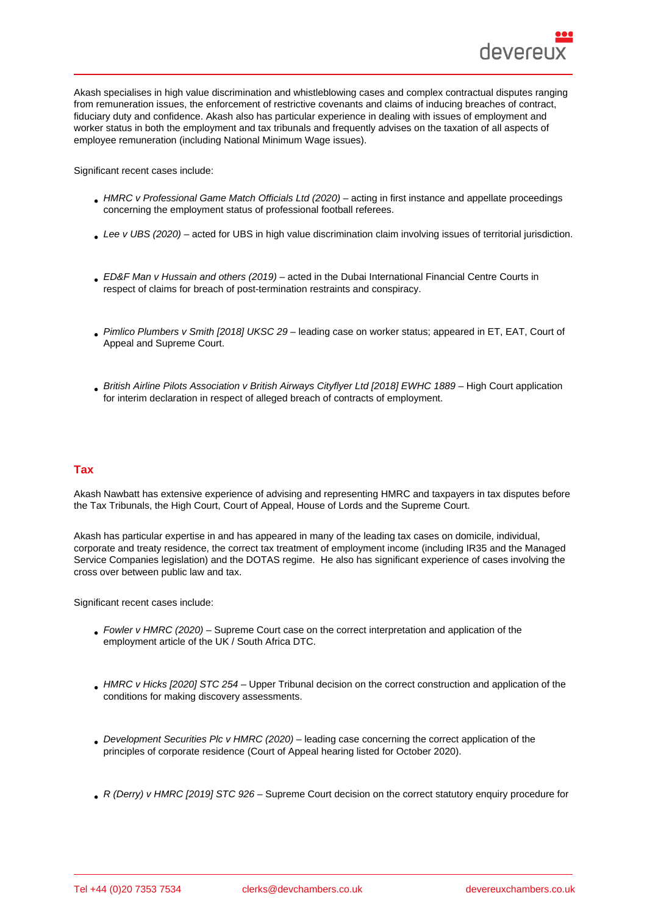Akash specialises in high value discrimination and whistleblowing cases and complex contractual disputes ranging from remuneration issues, the enforcement of restrictive covenants and claims of inducing breaches of contract, fiduciary duty and confidence. Akash also has particular experience in dealing with issues of employment and worker status in both the employment and tax tribunals and frequently advises on the taxation of all aspects of employee remuneration (including National Minimum Wage issues).

Significant recent cases include:

- HMRC v Professional Game Match Officials Ltd (2020) acting in first instance and appellate proceedings concerning the employment status of professional football referees.
- Lee v UBS (2020) acted for UBS in high value discrimination claim involving issues of territorial jurisdiction.
- ED&F Man v Hussain and others (2019) acted in the Dubai International Financial Centre Courts in respect of claims for breach of post-termination restraints and conspiracy.
- Pimlico Plumbers v Smith [2018] UKSC 29 leading case on worker status; appeared in ET, EAT, Court of Appeal and Supreme Court.
- British Airline Pilots Association v British Airways Cityflyer Ltd [2018] EWHC 1889 High Court application for interim declaration in respect of alleged breach of contracts of employment.

### Tax

Akash Nawbatt has extensive experience of advising and representing HMRC and taxpayers in tax disputes before the Tax Tribunals, the High Court, Court of Appeal, House of Lords and the Supreme Court.

Akash has particular expertise in and has appeared in many of the leading tax cases on domicile, individual, corporate and treaty residence, the correct tax treatment of employment income (including IR35 and the Managed Service Companies legislation) and the DOTAS regime. He also has significant experience of cases involving the cross over between public law and tax.

Significant recent cases include:

- Fowler v HMRC (2020) Supreme Court case on the correct interpretation and application of the employment article of the UK / South Africa DTC.
- HMRC v Hicks [2020] STC 254 Upper Tribunal decision on the correct construction and application of the conditions for making discovery assessments.
- Development Securities Plc v HMRC (2020) leading case concerning the correct application of the principles of corporate residence (Court of Appeal hearing listed for October 2020).
- R (Derry) v HMRC [2019] STC 926 Supreme Court decision on the correct statutory enquiry procedure for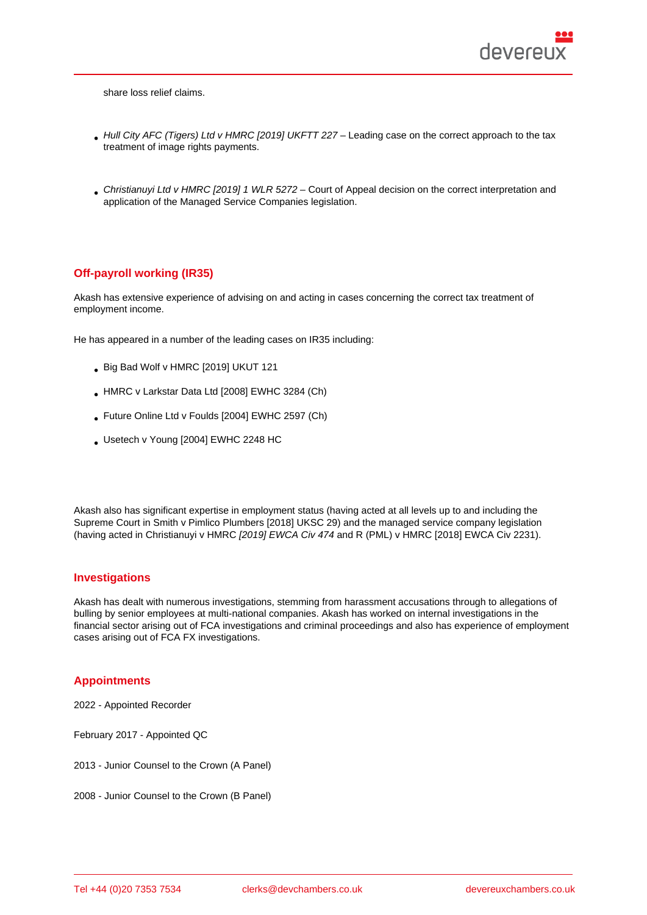share loss relief claims.

- Hull City AFC (Tigers) Ltd v HMRC [2019] UKFTT 227 Leading case on the correct approach to the tax treatment of image rights payments.
- Christianuyi Ltd v HMRC [2019] 1 WLR 5272 Court of Appeal decision on the correct interpretation and application of the Managed Service Companies legislation.

### Off-payroll working (IR35)

Akash has extensive experience of advising on and acting in cases concerning the correct tax treatment of employment income.

He has appeared in a number of the leading cases on IR35 including:

- Big Bad Wolf v HMRC [2019] UKUT 121
- HMRC v Larkstar Data Ltd [2008] EWHC 3284 (Ch)
- Future Online Ltd v Foulds [2004] EWHC 2597 (Ch)
- Usetech v Young [2004] EWHC 2248 HC

Akash also has significant expertise in employment status (having acted at all levels up to and including the Supreme Court in Smith v Pimlico Plumbers [2018] UKSC 29) and the managed service company legislation (having acted in Christianuyi v HMRC [2019] EWCA Civ 474 and R (PML) v HMRC [2018] EWCA Civ 2231).

#### Investigations

Akash has dealt with numerous investigations, stemming from harassment accusations through to allegations of bulling by senior employees at multi-national companies. Akash has worked on internal investigations in the financial sector arising out of FCA investigations and criminal proceedings and also has experience of employment cases arising out of FCA FX investigations.

#### Appointments

2022 - Appointed Recorder

February 2017 - Appointed QC

2013 - Junior Counsel to the Crown (A Panel)

2008 - Junior Counsel to the Crown (B Panel)